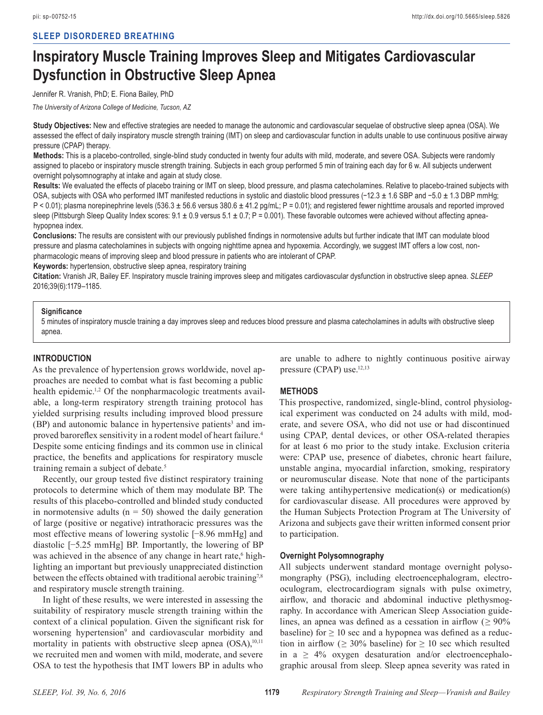# **Inspiratory Muscle Training Improves Sleep and Mitigates Cardiovascular Dysfunction in Obstructive Sleep Apnea**

Jennifer R. Vranish, PhD; E. Fiona Bailey, PhD

*The University of Arizona College of Medicine, Tucson, AZ*

**Study Objectives:** New and effective strategies are needed to manage the autonomic and cardiovascular sequelae of obstructive sleep apnea (OSA). We assessed the effect of daily inspiratory muscle strength training (IMT) on sleep and cardiovascular function in adults unable to use continuous positive airway pressure (CPAP) therapy.

**Methods:** This is a placebo-controlled, single-blind study conducted in twenty four adults with mild, moderate, and severe OSA. Subjects were randomly assigned to placebo or inspiratory muscle strength training. Subjects in each group performed 5 min of training each day for 6 w. All subjects underwent overnight polysomnography at intake and again at study close.

**Results:** We evaluated the effects of placebo training or IMT on sleep, blood pressure, and plasma catecholamines. Relative to placebo-trained subjects with OSA, subjects with OSA who performed IMT manifested reductions in systolic and diastolic blood pressures (−12.3 ± 1.6 SBP and −5.0 ± 1.3 DBP mmHg; P < 0.01); plasma norepinephrine levels (536.3 ± 56.6 versus 380.6 ± 41.2 pg/mL; P = 0.01); and registered fewer nighttime arousals and reported improved sleep (Pittsburgh Sleep Quality Index scores:  $9.1 \pm 0.9$  versus  $5.1 \pm 0.7$ ; P = 0.001). These favorable outcomes were achieved without affecting apneahypopnea index.

**Conclusions:** The results are consistent with our previously published findings in normotensive adults but further indicate that IMT can modulate blood pressure and plasma catecholamines in subjects with ongoing nighttime apnea and hypoxemia. Accordingly, we suggest IMT offers a low cost, nonpharmacologic means of improving sleep and blood pressure in patients who are intolerant of CPAP.

**Keywords:** hypertension, obstructive sleep apnea, respiratory training

**Citation:** Vranish JR, Bailey EF. Inspiratory muscle training improves sleep and mitigates cardiovascular dysfunction in obstructive sleep apnea. *SLEEP* 2016;39(6):1179–1185.

#### **Significance**

5 minutes of inspiratory muscle training a day improves sleep and reduces blood pressure and plasma catecholamines in adults with obstructive sleep apnea.

## **INTRODUCTION**

As the prevalence of hypertension grows worldwide, novel approaches are needed to combat what is fast becoming a public health epidemic.<sup>1,2</sup> Of the nonpharmacologic treatments available, a long-term respiratory strength training protocol has yielded surprising results including improved blood pressure (BP) and autonomic balance in hypertensive patients<sup>3</sup> and improved baroreflex sensitivity in a rodent model of heart failure.<sup>4</sup> Despite some enticing findings and its common use in clinical practice, the benefits and applications for respiratory muscle training remain a subject of debate.5

Recently, our group tested five distinct respiratory training protocols to determine which of them may modulate BP. The results of this placebo-controlled and blinded study conducted in normotensive adults ( $n = 50$ ) showed the daily generation of large (positive or negative) intrathoracic pressures was the most effective means of lowering systolic [−8.96 mmHg] and diastolic [−5.25 mmHg] BP. Importantly, the lowering of BP was achieved in the absence of any change in heart rate,<sup>6</sup> highlighting an important but previously unappreciated distinction between the effects obtained with traditional aerobic training<sup>7,8</sup> and respiratory muscle strength training.

In light of these results, we were interested in assessing the suitability of respiratory muscle strength training within the context of a clinical population. Given the significant risk for worsening hypertension<sup>9</sup> and cardiovascular morbidity and mortality in patients with obstructive sleep apnea  $(OSA)$ ,<sup>10,11</sup> we recruited men and women with mild, moderate, and severe OSA to test the hypothesis that IMT lowers BP in adults who

are unable to adhere to nightly continuous positive airway pressure (CPAP) use.12,13

#### **METHODS**

This prospective, randomized, single-blind, control physiological experiment was conducted on 24 adults with mild, moderate, and severe OSA, who did not use or had discontinued using CPAP, dental devices, or other OSA-related therapies for at least 6 mo prior to the study intake. Exclusion criteria were: CPAP use, presence of diabetes, chronic heart failure, unstable angina, myocardial infarction, smoking, respiratory or neuromuscular disease. Note that none of the participants were taking antihypertensive medication(s) or medication(s) for cardiovascular disease. All procedures were approved by the Human Subjects Protection Program at The University of Arizona and subjects gave their written informed consent prior to participation.

#### **Overnight Polysomnography**

All subjects underwent standard montage overnight polysomongraphy (PSG), including electroencephalogram, electrooculogram, electrocardiogram signals with pulse oximetry, airflow, and thoracic and abdominal inductive plethysmography. In accordance with American Sleep Association guidelines, an apnea was defined as a cessation in airflow ( $\geq 90\%$ ) baseline) for  $\geq 10$  sec and a hypopnea was defined as a reduction in airflow ( $\geq 30\%$  baseline) for  $\geq 10$  sec which resulted in  $a \geq 4\%$  oxygen desaturation and/or electroencephalographic arousal from sleep. Sleep apnea severity was rated in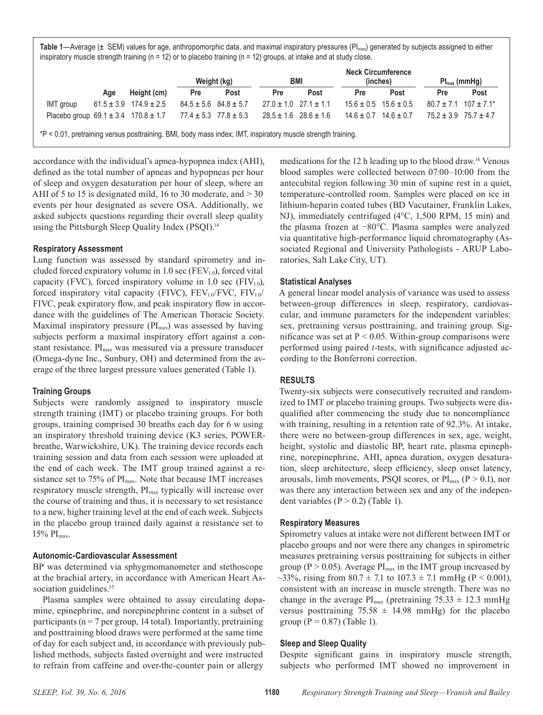Table 1—Average (± SEM) values for age, anthropomorphic data, and maximal inspiratory pressures (PI<sub>max</sub>) generated by subjects assigned to either inspiratory muscle strength training ( $n = 12$ ) or to placebo training ( $n = 12$ ) groups, at intake and at study close.

|                               |     |                                                                            | Weight (kg) |                               | BMI                           |                               | <b>Neck Circumference</b><br>(inches) |                               | $Pl_{max}(mmHg)$ |                                           |
|-------------------------------|-----|----------------------------------------------------------------------------|-------------|-------------------------------|-------------------------------|-------------------------------|---------------------------------------|-------------------------------|------------------|-------------------------------------------|
|                               | Age | Height (cm)                                                                | Pre         | Post                          | <b>Pre</b>                    | Post                          | Pre                                   | Post                          | <b>Pre</b>       | Post                                      |
| IMT group                     |     | $61.5 \pm 3.9$ $174.9 \pm 2.5$                                             |             | $84.5 \pm 5.6$ $84.8 \pm 5.7$ |                               | $27.0 \pm 1.0$ $27.1 \pm 1.1$ |                                       | $15.6 \pm 0.5$ $15.6 \pm 0.5$ |                  | $80.7 \pm 7.1$ 107 $\pm 7.1$ <sup>*</sup> |
|                               |     | Placebo group $69.1 \pm 3.4$ $170.8 \pm 1.7$ $77.4 \pm 5.3$ $77.8 \pm 5.3$ |             |                               | $28.5 \pm 1.6$ 28.6 $\pm$ 1.6 |                               |                                       | $14.6 \pm 0.7$ $14.6 \pm 0.7$ |                  | $75.2 \pm 3.9$ $75.7 \pm 4.7$             |
| $\mathbf{a}$ . A $\mathbf{a}$ |     |                                                                            |             |                               |                               |                               |                                       |                               |                  |                                           |

\*P < 0.01, pretraining versus posttraining. BMI, body mass index; IMT, inspiratory muscle strength training.

accordance with the individual's apnea-hypopnea index (AHI), defined as the total number of apneas and hypopneas per hour of sleep and oxygen desaturation per hour of sleep, where an AHI of 5 to 15 is designated mild, 16 to 30 moderate, and  $>$  30 events per hour designated as severe OSA. Additionally, we asked subjects questions regarding their overall sleep quality using the Pittsburgh Sleep Quality Index (PSQI).<sup>14</sup>

## **Respiratory Assessment**

Lung function was assessed by standard spirometry and included forced expiratory volume in 1.0 sec ( $FEV<sub>10</sub>$ ), forced vital capacity (FVC), forced inspiratory volume in 1.0 sec (FIV<sub>1.0</sub>), forced inspiratory vital capacity (FIVC),  $FEV_{1.0}/FVC$ ,  $FIV_{1.0}/$ FIVC, peak expiratory flow, and peak inspiratory flow in accordance with the guidelines of The American Thoracic Society. Maximal inspiratory pressure  $(PI_{max})$  was assessed by having subjects perform a maximal inspiratory effort against a constant resistance.  $PI<sub>max</sub>$  was measured via a pressure transducer (Omega-dyne Inc., Sunbury, OH) and determined from the average of the three largest pressure values generated (Table 1).

## **Training Groups**

Subjects were randomly assigned to inspiratory muscle strength training (IMT) or placebo training groups. For both groups, training comprised 30 breaths each day for 6 w using an inspiratory threshold training device (K3 series, POWERbreathe, Warwickshire, UK). The training device records each training session and data from each session were uploaded at the end of each week. The IMT group trained against a resistance set to 75% of  $PI<sub>max</sub>$ . Note that because IMT increases respiratory muscle strength, PI<sub>max</sub> typically will increase over the course of training and thus, it is necessary to set resistance to a new, higher training level at the end of each week. Subjects in the placebo group trained daily against a resistance set to  $15\%$  PI<sub>max</sub>.

# **Autonomic-Cardiovascular Assessment**

BP was determined via sphygmomanometer and stethoscope at the brachial artery, in accordance with American Heart Association guidelines.<sup>15</sup>

Plasma samples were obtained to assay circulating dopamine, epinephrine, and norepinephrine content in a subset of participants ( $n = 7$  per group, 14 total). Importantly, pretraining and posttraining blood draws were performed at the same time of day for each subject and, in accordance with previously published methods, subjects fasted overnight and were instructed to refrain from caffeine and over-the-counter pain or allergy

medications for the 12 h leading up to the blood draw.16 Venous blood samples were collected between 07:00–10:00 from the antecubital region following 30 min of supine rest in a quiet, temperature-controlled room. Samples were placed on ice in lithium-heparin coated tubes (BD Vacutainer, Franklin Lakes, NJ), immediately centrifuged (4°C, 1,500 RPM, 15 min) and the plasma frozen at −80°C. Plasma samples were analyzed via quantitative high-performance liquid chromatography (Associated Regional and University Pathologists - ARUP Laboratories, Salt Lake City, UT).

## **Statistical Analyses**

A general linear model analysis of variance was used to assess between-group differences in sleep, respiratory, cardiovascular, and immune parameters for the independent variables: sex, pretraining versus posttraining, and training group. Significance was set at  $P < 0.05$ . Within-group comparisons were performed using paired *t-*tests, with significance adjusted according to the Bonferroni correction.

#### **RESULTS**

Twenty-six subjects were consecutively recruited and randomized to IMT or placebo training groups. Two subjects were disqualified after commencing the study due to noncompliance with training, resulting in a retention rate of 92.3%. At intake, there were no between-group differences in sex, age, weight, height, systolic and diastolic BP, heart rate, plasma epinephrine, norepinephrine, AHI, apnea duration, oxygen desaturation, sleep architecture, sleep efficiency, sleep onset latency, arousals, limb movements, PSQI scores, or  $PI_{max}$  (P > 0.1), nor was there any interaction between sex and any of the independent variables  $(P > 0.2)$  (Table 1).

## **Respiratory Measures**

Spirometry values at intake were not different between IMT or placebo groups and nor were there any changes in spirometric measures pretraining versus posttraining for subjects in either group ( $P > 0.05$ ). Average  $PI_{max}$  in the IMT group increased by ~33%, rising from  $80.7 \pm 7.1$  to  $107.3 \pm 7.1$  mmHg (P < 0.001), consistent with an increase in muscle strength. There was no change in the average  $PI_{max}$  (pretraining 75.33  $\pm$  12.3 mmHg versus posttraining  $75.58 \pm 14.98$  mmHg) for the placebo group ( $P = 0.87$ ) (Table 1).

## **Sleep and Sleep Quality**

Despite significant gains in inspiratory muscle strength, subjects who performed IMT showed no improvement in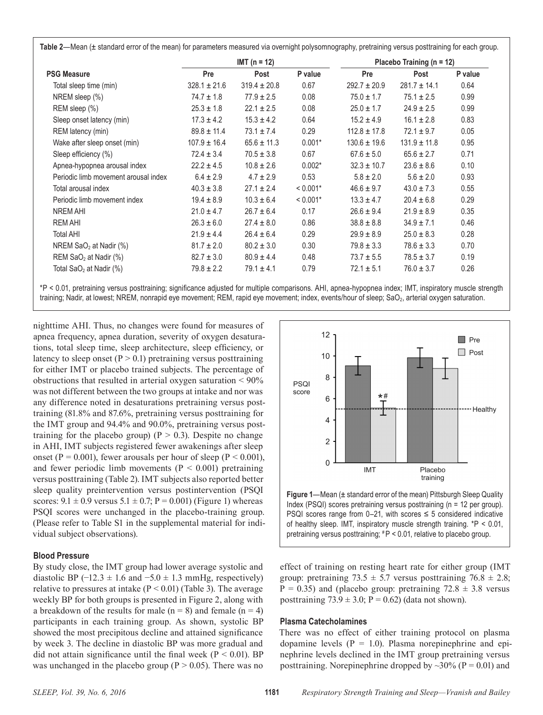|                                      |                  | $IMT(n = 12)$    |            | Placebo Training ( $n = 12$ ) |                  |         |  |
|--------------------------------------|------------------|------------------|------------|-------------------------------|------------------|---------|--|
| <b>PSG Measure</b>                   | Pre              | Post             | P value    | Pre                           | Post             | P value |  |
| Total sleep time (min)               | $328.1 \pm 21.6$ | $319.4 \pm 20.8$ | 0.67       | $292.7 \pm 20.9$              | $281.7 \pm 14.1$ | 0.64    |  |
| NREM sleep $(\%)$                    | $74.7 \pm 1.8$   | $77.9 \pm 2.5$   | 0.08       | $75.0 \pm 1.7$                | $75.1 \pm 2.5$   | 0.99    |  |
| REM sleep (%)                        | $25.3 \pm 1.8$   | $22.1 \pm 2.5$   | 0.08       | $25.0 \pm 1.7$                | $24.9 \pm 2.5$   | 0.99    |  |
| Sleep onset latency (min)            | $17.3 \pm 4.2$   | $15.3 \pm 4.2$   | 0.64       | $15.2 \pm 4.9$                | $16.1 \pm 2.8$   | 0.83    |  |
| REM latency (min)                    | $89.8 \pm 11.4$  | $73.1 \pm 7.4$   | 0.29       | $112.8 \pm 17.8$              | $72.1 \pm 9.7$   | 0.05    |  |
| Wake after sleep onset (min)         | $107.9 \pm 16.4$ | $65.6 \pm 11.3$  | $0.001*$   | $130.6 \pm 19.6$              | $131.9 \pm 11.8$ | 0.95    |  |
| Sleep efficiency (%)                 | $72.4 \pm 3.4$   | $70.5 \pm 3.8$   | 0.67       | $67.6 \pm 5.0$                | $65.6 \pm 2.7$   | 0.71    |  |
| Apnea-hypopnea arousal index         | $22.2 \pm 4.5$   | $10.8 \pm 2.6$   | $0.002*$   | $32.3 \pm 10.7$               | $23.6 \pm 8.6$   | 0.10    |  |
| Periodic limb movement arousal index | $6.4 \pm 2.9$    | $4.7 \pm 2.9$    | 0.53       | $5.8 \pm 2.0$                 | $5.6 \pm 2.0$    | 0.93    |  |
| Total arousal index                  | $40.3 \pm 3.8$   | $27.1 \pm 2.4$   | $< 0.001*$ | $46.6 \pm 9.7$                | $43.0 \pm 7.3$   | 0.55    |  |
| Periodic limb movement index         | $19.4 \pm 8.9$   | $10.3 \pm 6.4$   | $< 0.001*$ | $13.3 \pm 4.7$                | $20.4 \pm 6.8$   | 0.29    |  |
| NREM AHI                             | $21.0 \pm 4.7$   | $26.7 \pm 6.4$   | 0.17       | $26.6 \pm 9.4$                | $21.9 \pm 8.9$   | 0.35    |  |
| <b>REM AHI</b>                       | $26.3 \pm 6.0$   | $27.4 \pm 8.0$   | 0.86       | $38.8 \pm 8.8$                | $34.9 \pm 7.1$   | 0.46    |  |
| <b>Total AHI</b>                     | $21.9 \pm 4.4$   | $26.4 \pm 6.4$   | 0.29       | $29.9 \pm 8.9$                | $25.0 \pm 8.3$   | 0.28    |  |
| NREM $SaO2$ at Nadir (%)             | $81.7 \pm 2.0$   | $80.2 \pm 3.0$   | 0.30       | $79.8 \pm 3.3$                | $78.6 \pm 3.3$   | 0.70    |  |
| REM SaO <sub>2</sub> at Nadir (%)    | $82.7 \pm 3.0$   | $80.9 \pm 4.4$   | 0.48       | $73.7 \pm 5.5$                | $78.5 \pm 3.7$   | 0.19    |  |
| Total SaO <sub>2</sub> at Nadir (%)  | $79.8 \pm 2.2$   | $79.1 \pm 4.1$   | 0.79       | $72.1 \pm 5.1$                | $76.0 \pm 3.7$   | 0.26    |  |

\*P < 0.01, pretraining versus posttraining; significance adjusted for multiple comparisons. AHI, apnea-hypopnea index; IMT, inspiratory muscle strength training; Nadir, at lowest; NREM, nonrapid eye movement; REM, rapid eye movement; index, events/hour of sleep; SaO2, arterial oxygen saturation.

nighttime AHI. Thus, no changes were found for measures of apnea frequency, apnea duration, severity of oxygen desaturations, total sleep time, sleep architecture, sleep efficiency, or latency to sleep onset  $(P > 0.1)$  pretraining versus posttraining for either IMT or placebo trained subjects. The percentage of obstructions that resulted in arterial oxygen saturation < 90% was not different between the two groups at intake and nor was any difference noted in desaturations pretraining versus posttraining (81.8% and 87.6%, pretraining versus posttraining for the IMT group and 94.4% and 90.0%, pretraining versus posttraining for the placebo group) ( $P > 0.3$ ). Despite no change in AHI, IMT subjects registered fewer awakenings after sleep onset (P = 0.001), fewer arousals per hour of sleep (P < 0.001), and fewer periodic limb movements ( $P < 0.001$ ) pretraining versus posttraining (Table 2). IMT subjects also reported better sleep quality preintervention versus postintervention (PSQI scores:  $9.1 \pm 0.9$  versus  $5.1 \pm 0.7$ ;  $P = 0.001$ ) (Figure 1) whereas PSQI scores were unchanged in the placebo-training group. (Please refer to Table S1 in the supplemental material for individual subject observations).

## **Blood Pressure**

By study close, the IMT group had lower average systolic and diastolic BP  $(-12.3 \pm 1.6 \text{ and } -5.0 \pm 1.3 \text{ mmHg}$ , respectively) relative to pressures at intake  $(P < 0.01)$  (Table 3). The average weekly BP for both groups is presented in Figure 2, along with a breakdown of the results for male  $(n = 8)$  and female  $(n = 4)$ participants in each training group. As shown, systolic BP showed the most precipitous decline and attained significance by week 3. The decline in diastolic BP was more gradual and did not attain significance until the final week ( $P < 0.01$ ). BP was unchanged in the placebo group ( $P > 0.05$ ). There was no



of healthy sleep. IMT, inspiratory muscle strength training. \*P < 0.01, pretraining versus posttraining; #P < 0.01, relative to placebo group.

effect of training on resting heart rate for either group (IMT group: pretraining  $73.5 \pm 5.7$  versus posttraining  $76.8 \pm 2.8$ ;  $P = 0.35$ ) and (placebo group: pretraining  $72.8 \pm 3.8$  versus posttraining  $73.9 \pm 3.0$ ; P = 0.62) (data not shown).

## **Plasma Catecholamines**

There was no effect of either training protocol on plasma dopamine levels  $(P = 1.0)$ . Plasma norepinephrine and epinephrine levels declined in the IMT group pretraining versus posttraining. Norepinephrine dropped by  $\sim$ 30% (P = 0.01) and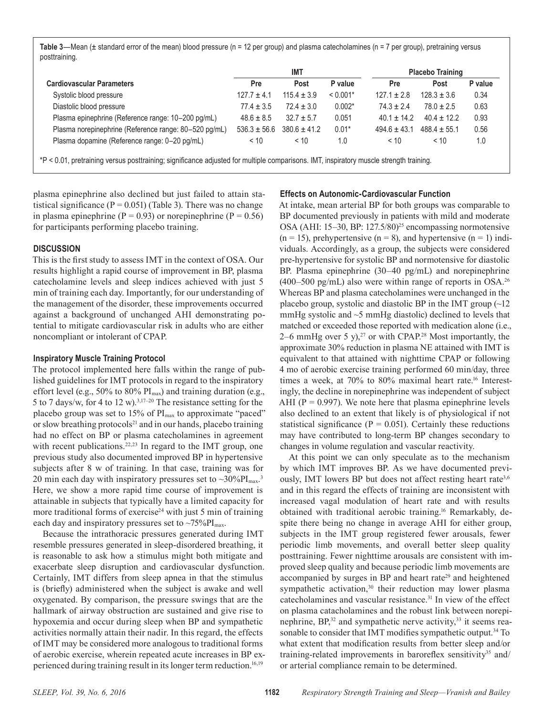Table 3—Mean (± standard error of the mean) blood pressure (n = 12 per group) and plasma catecholamines (n = 7 per group), pretraining versus posttraining.

|                                                       | <b>IMT</b>       |                  |            | <b>Placebo Training</b> |                  |         |  |
|-------------------------------------------------------|------------------|------------------|------------|-------------------------|------------------|---------|--|
| <b>Cardiovascular Parameters</b>                      | Pre              | Post             | P value    | Pre                     | Post             | P value |  |
| Systolic blood pressure                               | $127.7 \pm 4.1$  | $115.4 \pm 3.9$  | $< 0.001*$ | $127.1 \pm 2.8$         | $128.3 \pm 3.6$  | 0.34    |  |
| Diastolic blood pressure                              | $77.4 \pm 3.5$   | $72.4 \pm 3.0$   | $0.002*$   | $74.3 \pm 2.4$          | $78.0 \pm 2.5$   | 0.63    |  |
| Plasma epinephrine (Reference range: 10-200 pg/mL)    | $48.6 \pm 8.5$   | $32.7 \pm 5.7$   | 0.051      | $40.1 \pm 14.2$         | $40.4 \pm 12.2$  | 0.93    |  |
| Plasma norepinephrine (Reference range: 80–520 pg/mL) | $536.3 \pm 56.6$ | $380.6 \pm 41.2$ | $0.01*$    | $494.6 \pm 43.1$        | $488.4 \pm 55.1$ | 0.56    |  |
| Plasma dopamine (Reference range: 0-20 pg/mL)         | < 10             | < 10             | 1.0        | < 10                    | < 10             | 1.0     |  |

plasma epinephrine also declined but just failed to attain statistical significance ( $P = 0.051$ ) (Table 3). There was no change in plasma epinephrine ( $P = 0.93$ ) or norepinephrine ( $P = 0.56$ ) for participants performing placebo training.

#### **DISCUSSION**

This is the first study to assess IMT in the context of OSA. Our results highlight a rapid course of improvement in BP, plasma catecholamine levels and sleep indices achieved with just 5 min of training each day. Importantly, for our understanding of the management of the disorder, these improvements occurred against a background of unchanged AHI demonstrating potential to mitigate cardiovascular risk in adults who are either noncompliant or intolerant of CPAP.

#### **Inspiratory Muscle Training Protocol**

The protocol implemented here falls within the range of published guidelines for IMT protocols in regard to the inspiratory effort level (e.g.,  $50\%$  to  $80\%$  PI<sub>max</sub>) and training duration (e.g., 5 to 7 days/w, for 4 to 12 w).3,17–20 The resistance setting for the placebo group was set to 15% of PI<sub>max</sub> to approximate "paced" or slow breathing protocols<sup>21</sup> and in our hands, placebo training had no effect on BP or plasma catecholamines in agreement with recent publications.<sup>22,23</sup> In regard to the IMT group, one previous study also documented improved BP in hypertensive subjects after 8 w of training. In that case, training was for 20 min each day with inspiratory pressures set to  $\sim 30\%$  PI<sub>max</sub>.<sup>3</sup> Here, we show a more rapid time course of improvement is attainable in subjects that typically have a limited capacity for more traditional forms of exercise<sup>24</sup> with just 5 min of training each day and inspiratory pressures set to  $\sim 75\%$ PI<sub>max</sub>.

Because the intrathoracic pressures generated during IMT resemble pressures generated in sleep-disordered breathing, it is reasonable to ask how a stimulus might both mitigate and exacerbate sleep disruption and cardiovascular dysfunction. Certainly, IMT differs from sleep apnea in that the stimulus is (briefly) administered when the subject is awake and well oxygenated. By comparison, the pressure swings that are the hallmark of airway obstruction are sustained and give rise to hypoxemia and occur during sleep when BP and sympathetic activities normally attain their nadir. In this regard, the effects of IMT may be considered more analogous to traditional forms of aerobic exercise, wherein repeated acute increases in BP experienced during training result in its longer term reduction.16,19

#### **Effects on Autonomic-Cardiovascular Function**

At intake, mean arterial BP for both groups was comparable to BP documented previously in patients with mild and moderate OSA (AHI: 15–30, BP: 127.5/80)<sup>25</sup> encompassing normotensive  $(n = 15)$ , prehypertensive  $(n = 8)$ , and hypertensive  $(n = 1)$  individuals. Accordingly, as a group, the subjects were considered pre-hypertensive for systolic BP and normotensive for diastolic BP. Plasma epinephrine (30–40 pg/mL) and norepinephrine  $(400-500 \text{ pg/mL})$  also were within range of reports in OSA.<sup>26</sup> Whereas BP and plasma catecholamines were unchanged in the placebo group, systolic and diastolic BP in the IMT group  $\sim$  12 mmHg systolic and  $\sim$ 5 mmHg diastolic) declined to levels that matched or exceeded those reported with medication alone (i.e., 2–6 mmHg over 5 y), $2^7$  or with CPAP.<sup>28</sup> Most importantly, the approximate 30% reduction in plasma NE attained with IMT is equivalent to that attained with nighttime CPAP or following 4 mo of aerobic exercise training performed 60 min/day, three times a week, at 70% to 80% maximal heart rate.<sup>16</sup> Interestingly, the decline in norepinephrine was independent of subject AHI ( $P = 0.997$ ). We note here that plasma epinephrine levels also declined to an extent that likely is of physiological if not statistical significance ( $P = 0.051$ ). Certainly these reductions may have contributed to long-term BP changes secondary to changes in volume regulation and vascular reactivity.

At this point we can only speculate as to the mechanism by which IMT improves BP. As we have documented previously, IMT lowers BP but does not affect resting heart rate<sup>3,6</sup> and in this regard the effects of training are inconsistent with increased vagal modulation of heart rate and with results obtained with traditional aerobic training.16 Remarkably, despite there being no change in average AHI for either group, subjects in the IMT group registered fewer arousals, fewer periodic limb movements, and overall better sleep quality posttraining. Fewer nighttime arousals are consistent with improved sleep quality and because periodic limb movements are accompanied by surges in BP and heart rate $29$  and heightened sympathetic activation,<sup>30</sup> their reduction may lower plasma catecholamines and vascular resistance.31 In view of the effect on plasma catacholamines and the robust link between norepinephrine,  $BP^{32}$  and sympathetic nerve activity,  $33$  it seems reasonable to consider that IMT modifies sympathetic output.<sup>34</sup> To what extent that modification results from better sleep and/or training-related improvements in baroreflex sensitivity<sup>35</sup> and/ or arterial compliance remain to be determined.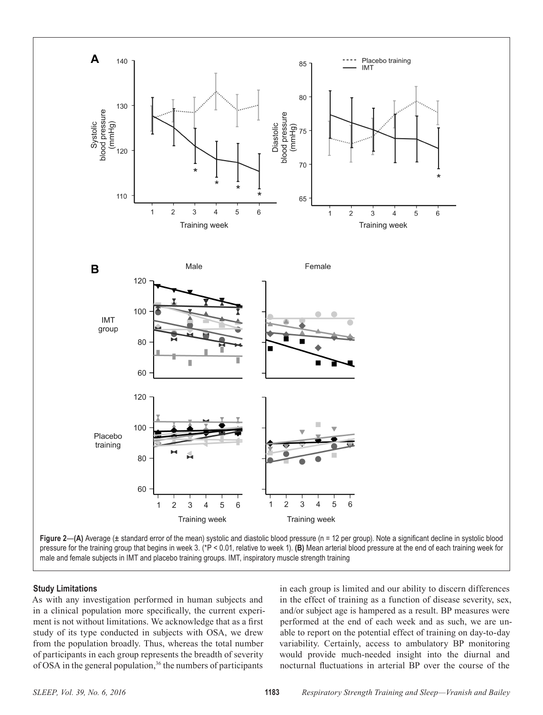

**Study Limitations**

As with any investigation performed in human subjects and in a clinical population more specifically, the current experiment is not without limitations. We acknowledge that as a first study of its type conducted in subjects with OSA, we drew from the population broadly. Thus, whereas the total number of participants in each group represents the breadth of severity of OSA in the general population,<sup>36</sup> the numbers of participants

in each group is limited and our ability to discern differences in the effect of training as a function of disease severity, sex, and/or subject age is hampered as a result. BP measures were performed at the end of each week and as such, we are unable to report on the potential effect of training on day-to-day variability. Certainly, access to ambulatory BP monitoring would provide much-needed insight into the diurnal and nocturnal fluctuations in arterial BP over the course of the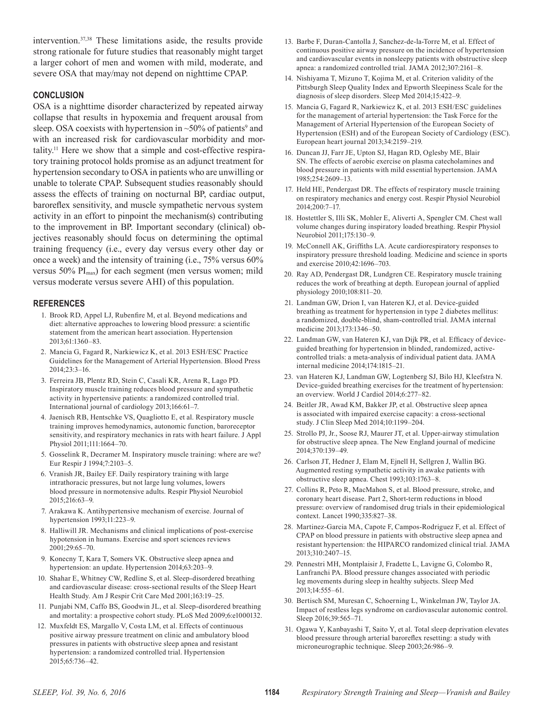intervention.37,38 These limitations aside, the results provide strong rationale for future studies that reasonably might target a larger cohort of men and women with mild, moderate, and severe OSA that may/may not depend on nighttime CPAP.

# **CONCLUSION**

OSA is a nighttime disorder characterized by repeated airway collapse that results in hypoxemia and frequent arousal from sleep. OSA coexists with hypertension in  $\sim$ 50% of patients<sup>9</sup> and with an increased risk for cardiovascular morbidity and mortality.11 Here we show that a simple and cost-effective respiratory training protocol holds promise as an adjunct treatment for hypertension secondary to OSA in patients who are unwilling or unable to tolerate CPAP. Subsequent studies reasonably should assess the effects of training on nocturnal BP, cardiac output, baroreflex sensitivity, and muscle sympathetic nervous system activity in an effort to pinpoint the mechanism(s) contributing to the improvement in BP. Important secondary (clinical) objectives reasonably should focus on determining the optimal training frequency (i.e., every day versus every other day or once a week) and the intensity of training (i.e., 75% versus 60% versus 50%  $PI<sub>max</sub>$ ) for each segment (men versus women; mild versus moderate versus severe AHI) of this population.

# **REFERENCES**

- 1. Brook RD, Appel LJ, Rubenfire M, et al. Beyond medications and diet: alternative approaches to lowering blood pressure: a scientific statement from the american heart association. Hypertension 2013;61:1360–83.
- 2. Mancia G, Fagard R, Narkiewicz K, et al. 2013 ESH/ESC Practice Guidelines for the Management of Arterial Hypertension. Blood Press 2014;23:3–16.
- 3. Ferreira JB, Plentz RD, Stein C, Casali KR, Arena R, Lago PD. Inspiratory muscle training reduces blood pressure and sympathetic activity in hypertensive patients: a randomized controlled trial. International journal of cardiology 2013;166:61–7.
- 4. Jaenisch RB, Hentschke VS, Quagliotto E, et al. Respiratory muscle training improves hemodynamics, autonomic function, baroreceptor sensitivity, and respiratory mechanics in rats with heart failure. J Appl Physiol 2011;111:1664–70.
- 5. Gosselink R, Decramer M. Inspiratory muscle training: where are we? Eur Respir J 1994;7:2103–5.
- 6. Vranish JR, Bailey EF. Daily respiratory training with large intrathoracic pressures, but not large lung volumes, lowers blood pressure in normotensive adults. Respir Physiol Neurobiol 2015;216:63–9.
- 7. Arakawa K. Antihypertensive mechanism of exercise. Journal of hypertension 1993;11:223–9.
- 8. Halliwill JR. Mechanisms and clinical implications of post-exercise hypotension in humans. Exercise and sport sciences reviews 2001;29:65–70.
- 9. Konecny T, Kara T, Somers VK. Obstructive sleep apnea and hypertension: an update. Hypertension 2014;63:203–9.
- 10. Shahar E, Whitney CW, Redline S, et al. Sleep-disordered breathing and cardiovascular disease: cross-sectional results of the Sleep Heart Health Study. Am J Respir Crit Care Med 2001;163:19–25.
- 11. Punjabi NM, Caffo BS, Goodwin JL, et al. Sleep-disordered breathing and mortality: a prospective cohort study. PLoS Med 2009;6:e1000132.
- 12. Muxfeldt ES, Margallo V, Costa LM, et al. Effects of continuous positive airway pressure treatment on clinic and ambulatory blood pressures in patients with obstructive sleep apnea and resistant hypertension: a randomized controlled trial. Hypertension 2015;65:736–42.
- 13. Barbe F, Duran-Cantolla J, Sanchez-de-la-Torre M, et al. Effect of continuous positive airway pressure on the incidence of hypertension and cardiovascular events in nonsleepy patients with obstructive sleep apnea: a randomized controlled trial. JAMA 2012;307:2161–8.
- 14. Nishiyama T, Mizuno T, Kojima M, et al. Criterion validity of the Pittsburgh Sleep Quality Index and Epworth Sleepiness Scale for the diagnosis of sleep disorders. Sleep Med 2014;15:422–9.
- 15. Mancia G, Fagard R, Narkiewicz K, et al. 2013 ESH/ESC guidelines for the management of arterial hypertension: the Task Force for the Management of Arterial Hypertension of the European Society of Hypertension (ESH) and of the European Society of Cardiology (ESC). European heart journal 2013;34:2159–219.
- 16. Duncan JJ, Farr JE, Upton SJ, Hagan RD, Oglesby ME, Blair SN. The effects of aerobic exercise on plasma catecholamines and blood pressure in patients with mild essential hypertension. JAMA 1985;254:2609–13.
- 17. Held HE, Pendergast DR. The effects of respiratory muscle training on respiratory mechanics and energy cost. Respir Physiol Neurobiol 2014;200:7–17.
- 18. Hostettler S, Illi SK, Mohler E, Aliverti A, Spengler CM. Chest wall volume changes during inspiratory loaded breathing. Respir Physiol Neurobiol 2011;175:130–9.
- 19. McConnell AK, Griffiths LA. Acute cardiorespiratory responses to inspiratory pressure threshold loading. Medicine and science in sports and exercise 2010;42:1696–703.
- 20. Ray AD, Pendergast DR, Lundgren CE. Respiratory muscle training reduces the work of breathing at depth. European journal of applied physiology 2010;108:811–20.
- 21. Landman GW, Drion I, van Hateren KJ, et al. Device-guided breathing as treatment for hypertension in type 2 diabetes mellitus: a randomized, double-blind, sham-controlled trial. JAMA internal medicine 2013;173:1346–50.
- 22. Landman GW, van Hateren KJ, van Dijk PR, et al. Efficacy of deviceguided breathing for hypertension in blinded, randomized, activecontrolled trials: a meta-analysis of individual patient data. JAMA internal medicine 2014;174:1815–21.
- 23. van Hateren KJ, Landman GW, Logtenberg SJ, Bilo HJ, Kleefstra N. Device-guided breathing exercises for the treatment of hypertension: an overview. World J Cardiol 2014;6:277–82.
- 24. Beitler JR, Awad KM, Bakker JP, et al. Obstructive sleep apnea is associated with impaired exercise capacity: a cross-sectional study. J Clin Sleep Med 2014;10:1199–204.
- 25. Strollo PJ, Jr., Soose RJ, Maurer JT, et al. Upper-airway stimulation for obstructive sleep apnea. The New England journal of medicine 2014;370:139–49.
- 26. Carlson JT, Hedner J, Elam M, Ejnell H, Sellgren J, Wallin BG. Augmented resting sympathetic activity in awake patients with obstructive sleep apnea. Chest 1993;103:1763–8.
- 27. Collins R, Peto R, MacMahon S, et al. Blood pressure, stroke, and coronary heart disease. Part 2, Short-term reductions in blood pressure: overview of randomised drug trials in their epidemiological context. Lancet 1990;335:827–38.
- 28. Martinez-Garcia MA, Capote F, Campos-Rodriguez F, et al. Effect of CPAP on blood pressure in patients with obstructive sleep apnea and resistant hypertension: the HIPARCO randomized clinical trial. JAMA 2013;310:2407–15.
- 29. Pennestri MH, Montplaisir J, Fradette L, Lavigne G, Colombo R, Lanfranchi PA. Blood pressure changes associated with periodic leg movements during sleep in healthy subjects. Sleep Med 2013;14:555–61.
- 30. Bertisch SM, Muresan C, Schoerning L, Winkelman JW, Taylor JA. Impact of restless legs syndrome on cardiovascular autonomic control. Sleep 2016;39:565–71.
- 31. Ogawa Y, Kanbayashi T, Saito Y, et al. Total sleep deprivation elevates blood pressure through arterial baroreflex resetting: a study with microneurographic technique. Sleep 2003;26:986–9.